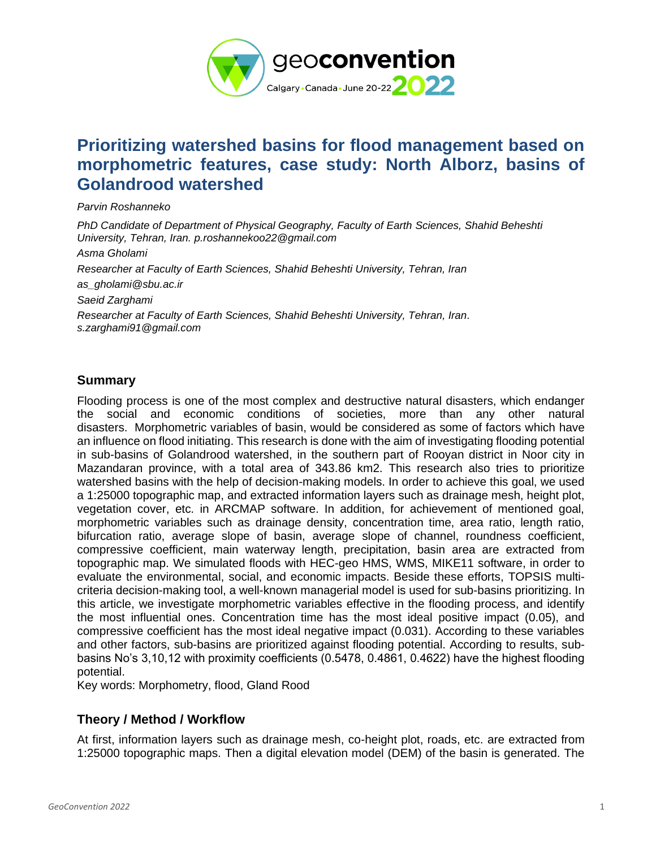

# **Prioritizing watershed basins for flood management based on morphometric features, case study: North Alborz, basins of Golandrood watershed**

*Parvin Roshanneko*

*PhD Candidate of Department of Physical Geography, Faculty of Earth Sciences, Shahid Beheshti University, Tehran, Iran. [p.roshannekoo22@gmail.com](mailto:p.roshannekoo22@gmail.com) Asma Gholami Researcher at Faculty of Earth Sciences, Shahid Beheshti University, Tehran, Iran as\_gholami@sbu.ac.ir Saeid Zarghami Researcher at Faculty of Earth Sciences, Shahid Beheshti University, Tehran, Iran. s.zarghami91@gmail.com*

### **Summary**

Flooding process is one of the most complex and destructive natural disasters, which endanger the social and economic conditions of societies, more than any other natural disasters. Morphometric variables of basin, would be considered as some of factors which have an influence on flood initiating. This research is done with the aim of investigating flooding potential in sub-basins of Golandrood watershed, in the southern part of Rooyan district in Noor city in Mazandaran province, with a total area of 343.86 km2. This research also tries to prioritize watershed basins with the help of decision-making models. In order to achieve this goal, we used a 1:25000 topographic map, and extracted information layers such as drainage mesh, height plot, vegetation cover, etc. in ARCMAP software. In addition, for achievement of mentioned goal, morphometric variables such as drainage density, concentration time, area ratio, length ratio, bifurcation ratio, average slope of basin, average slope of channel, roundness coefficient, compressive coefficient, main waterway length, precipitation, basin area are extracted from topographic map. We simulated floods with HEC-geo HMS, WMS, MIKE11 software, in order to evaluate the environmental, social, and economic impacts. Beside these efforts, TOPSIS multicriteria decision-making tool, a well-known managerial model is used for sub-basins prioritizing. In this article, we investigate morphometric variables effective in the flooding process, and identify the most influential ones. Concentration time has the most ideal positive impact (0.05), and compressive coefficient has the most ideal negative impact (0.031). According to these variables and other factors, sub-basins are prioritized against flooding potential. According to results, subbasins No's 3,10,12 with proximity coefficients (0.5478, 0.4861, 0.4622) have the highest flooding potential.

Key words: Morphometry, flood, Gland Rood

# **Theory / Method / Workflow**

At first, information layers such as drainage mesh, co-height plot, roads, etc. are extracted from 1:25000 topographic maps. Then a digital elevation model (DEM) of the basin is generated. The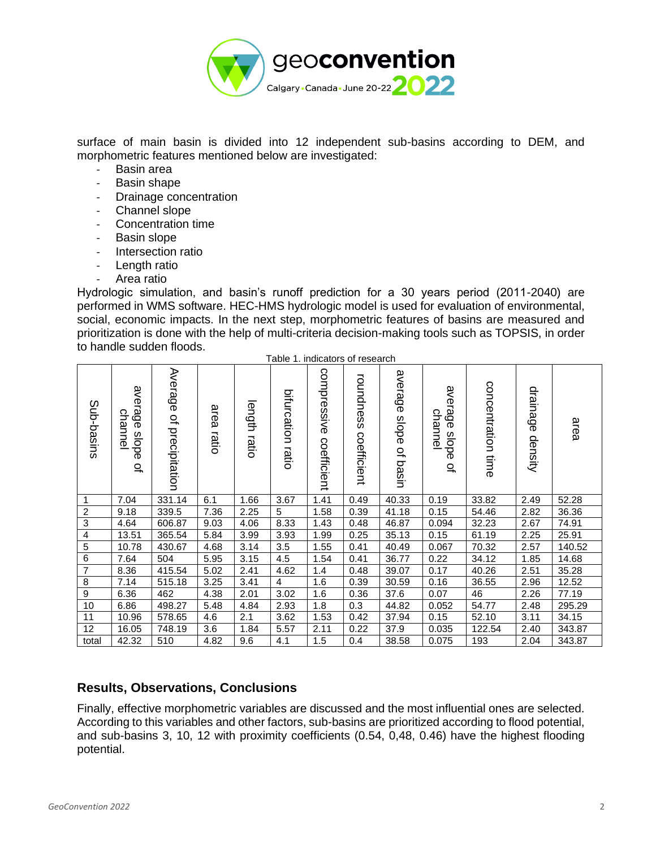

surface of main basin is divided into 12 independent sub-basins according to DEM, and morphometric features mentioned below are investigated:

- Basin area
- Basin shape
- Drainage concentration
- Channel slope
- Concentration time
- Basin slope
- Intersection ratio
- Length ratio
- Area ratio

Hydrologic simulation, and basin's runoff prediction for a 30 years period (2011-2040) are performed in WMS software. HEC-HMS hydrologic model is used for evaluation of environmental, social, economic impacts. In the next step, morphometric features of basins are measured and prioritization is done with the help of multi-criteria decision-making tools such as TOPSIS, in order to handle sudden floods.

| Sub-basins     | алегаде<br>channe<br>slope<br>$\overline{\sigma}$ | Average<br>q<br>precipitation | area<br>ratio | length<br>ratio | bifurcation<br>ratio | compressive<br>coefficient | roundness<br>coefficient | average<br>slope<br>of basin | алегаде<br>channel<br>slope<br>$\overline{a}$ | concentration<br>time | drainage<br>density | area   |
|----------------|---------------------------------------------------|-------------------------------|---------------|-----------------|----------------------|----------------------------|--------------------------|------------------------------|-----------------------------------------------|-----------------------|---------------------|--------|
| 1              | 7.04                                              | 331.14                        | 6.1           | 1.66            | 3.67                 | 1.41                       | 0.49                     | 40.33                        | 0.19                                          | 33.82                 | 2.49                | 52.28  |
| $\overline{2}$ | 9.18                                              | 339.5                         | 7.36          | 2.25            | 5                    | 1.58                       | 0.39                     | 41.18                        | 0.15                                          | 54.46                 | 2.82                | 36.36  |
| $\overline{3}$ | 4.64                                              | 606.87                        | 9.03          | 4.06            | 8.33                 | 1.43                       | 0.48                     | 46.87                        | 0.094                                         | 32.23                 | 2.67                | 74.91  |
| 4              | 13.51                                             | 365.54                        | 5.84          | 3.99            | 3.93                 | 1.99                       | 0.25                     | 35.13                        | 0.15                                          | 61.19                 | 2.25                | 25.91  |
| $\overline{5}$ | 10.78                                             | 430.67                        | 4.68          | 3.14            | 3.5                  | 1.55                       | 0.41                     | 40.49                        | 0.067                                         | 70.32                 | 2.57                | 140.52 |
| 6              | 7.64                                              | 504                           | 5.95          | 3.15            | 4.5                  | 1.54                       | 0.41                     | 36.77                        | 0.22                                          | 34.12                 | 1.85                | 14.68  |
| $\overline{7}$ | 8.36                                              | 415.54                        | 5.02          | 2.41            | 4.62                 | 1.4                        | 0.48                     | 39.07                        | 0.17                                          | 40.26                 | 2.51                | 35.28  |
| $\overline{8}$ | 7.14                                              | 515.18                        | 3.25          | 3.41            | $\overline{4}$       | 1.6                        | 0.39                     | 30.59                        | 0.16                                          | 36.55                 | 2.96                | 12.52  |
| $\overline{9}$ | 6.36                                              | 462                           | 4.38          | 2.01            | 3.02                 | 1.6                        | 0.36                     | 37.6                         | 0.07                                          | 46                    | 2.26                | 77.19  |
| 10             | 6.86                                              | 498.27                        | 5.48          | 4.84            | 2.93                 | 1.8                        | 0.3                      | 44.82                        | 0.052                                         | 54.77                 | 2.48                | 295.29 |
| 11             | 10.96                                             | 578.65                        | 4.6           | 2.1             | 3.62                 | 1.53                       | 0.42                     | 37.94                        | 0.15                                          | 52.10                 | 3.11                | 34.15  |
| 12             | 16.05                                             | 748.19                        | 3.6           | 1.84            | 5.57                 | 2.11                       | 0.22                     | 37.9                         | 0.035                                         | 122.54                | 2.40                | 343.87 |
| total          | 42.32                                             | 510                           | 4.82          | 9.6             | 4.1                  | 1.5                        | 0.4                      | 38.58                        | 0.075                                         | 193                   | 2.04                | 343.87 |

#### Table 1. indicators of research

### **Results, Observations, Conclusions**

Finally, effective morphometric variables are discussed and the most influential ones are selected. According to this variables and other factors, sub-basins are prioritized according to flood potential, and sub-basins 3, 10, 12 with proximity coefficients (0.54, 0,48, 0.46) have the highest flooding potential.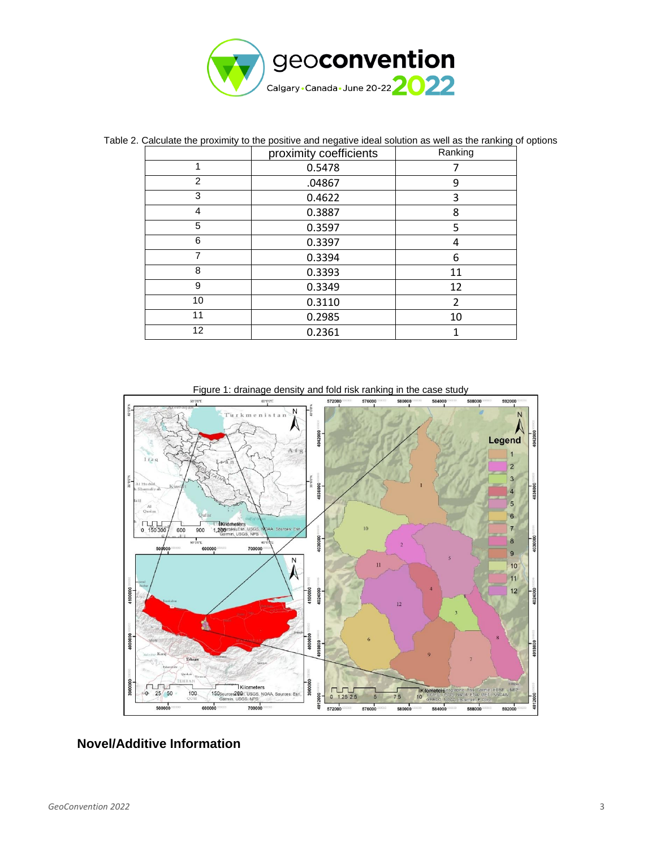

|    | proximity coefficients | Ranking |  |  |
|----|------------------------|---------|--|--|
| 1  | 0.5478                 |         |  |  |
| 2  | .04867                 | 9       |  |  |
| 3  | 0.4622                 | 3       |  |  |
| 4  | 0.3887                 | 8       |  |  |
| 5  | 0.3597                 | 5       |  |  |
| 6  | 0.3397                 | 4       |  |  |
| 7  | 0.3394                 | 6       |  |  |
| 8  | 0.3393                 | 11      |  |  |
| 9  | 0.3349                 | 12      |  |  |
| 10 | 0.3110                 | 2       |  |  |
| 11 | 0.2985                 | 10      |  |  |
| 12 | 0.2361                 |         |  |  |

Table 2. Calculate the proximity to the positive and negative ideal solution as well as the ranking of options

Figure 1: drainage density and fold risk ranking in the case study



## **Novel/Additive Information**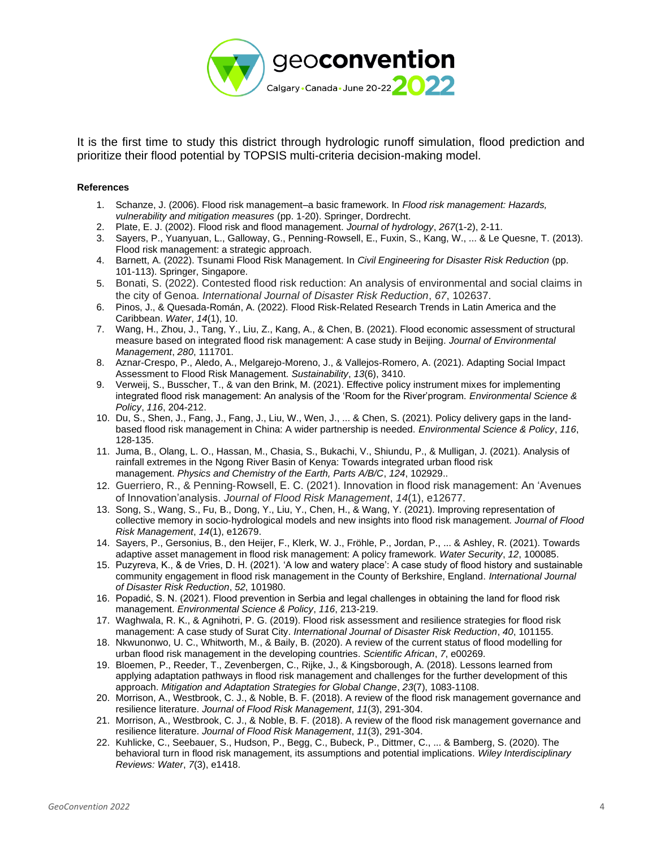

It is the first time to study this district through hydrologic runoff simulation, flood prediction and prioritize their flood potential by TOPSIS multi-criteria decision-making model.

#### **References**

- 1. Schanze, J. (2006). Flood risk management–a basic framework. In *Flood risk management: Hazards, vulnerability and mitigation measures* (pp. 1-20). Springer, Dordrecht.
- 2. Plate, E. J. (2002). Flood risk and flood management. *Journal of hydrology*, *267*(1-2), 2-11.
- 3. Sayers, P., Yuanyuan, L., Galloway, G., Penning-Rowsell, E., Fuxin, S., Kang, W., ... & Le Quesne, T. (2013). Flood risk management: a strategic approach.
- 4. Barnett, A. (2022). Tsunami Flood Risk Management. In *Civil Engineering for Disaster Risk Reduction* (pp. 101-113). Springer, Singapore.
- 5. Bonati, S. (2022). Contested flood risk reduction: An analysis of environmental and social claims in the city of Genoa. *International Journal of Disaster Risk Reduction*, *67*, 102637.
- 6. Pinos, J., & Quesada-Román, A. (2022). Flood Risk-Related Research Trends in Latin America and the Caribbean. *Water*, *14*(1), 10.
- 7. Wang, H., Zhou, J., Tang, Y., Liu, Z., Kang, A., & Chen, B. (2021). Flood economic assessment of structural measure based on integrated flood risk management: A case study in Beijing. *Journal of Environmental Management*, *280*, 111701.
- 8. Aznar-Crespo, P., Aledo, A., Melgarejo-Moreno, J., & Vallejos-Romero, A. (2021). Adapting Social Impact Assessment to Flood Risk Management. *Sustainability*, *13*(6), 3410.
- 9. Verweij, S., Busscher, T., & van den Brink, M. (2021). Effective policy instrument mixes for implementing integrated flood risk management: An analysis of the 'Room for the River'program. *Environmental Science & Policy*, *116*, 204-212.
- 10. Du, S., Shen, J., Fang, J., Fang, J., Liu, W., Wen, J., ... & Chen, S. (2021). Policy delivery gaps in the landbased flood risk management in China: A wider partnership is needed. *Environmental Science & Policy*, *116*, 128-135.
- 11. Juma, B., Olang, L. O., Hassan, M., Chasia, S., Bukachi, V., Shiundu, P., & Mulligan, J. (2021). Analysis of rainfall extremes in the Ngong River Basin of Kenya: Towards integrated urban flood risk management. *Physics and Chemistry of the Earth, Parts A/B/C*, *124*, 102929..
- 12. Guerriero, R., & Penning‐Rowsell, E. C. (2021). Innovation in flood risk management: An 'Avenues of Innovation'analysis. *Journal of Flood Risk Management*, *14*(1), e12677.
- 13. Song, S., Wang, S., Fu, B., Dong, Y., Liu, Y., Chen, H., & Wang, Y. (2021). Improving representation of collective memory in socio‐hydrological models and new insights into flood risk management. *Journal of Flood Risk Management*, *14*(1), e12679.
- 14. Sayers, P., Gersonius, B., den Heijer, F., Klerk, W. J., Fröhle, P., Jordan, P., ... & Ashley, R. (2021). Towards adaptive asset management in flood risk management: A policy framework. *Water Security*, *12*, 100085.
- 15. Puzyreva, K., & de Vries, D. H. (2021). 'A low and watery place': A case study of flood history and sustainable community engagement in flood risk management in the County of Berkshire, England. *International Journal of Disaster Risk Reduction*, *52*, 101980.
- 16. Popadić, S. N. (2021). Flood prevention in Serbia and legal challenges in obtaining the land for flood risk management. *Environmental Science & Policy*, *116*, 213-219.
- 17. Waghwala, R. K., & Agnihotri, P. G. (2019). Flood risk assessment and resilience strategies for flood risk management: A case study of Surat City. *International Journal of Disaster Risk Reduction*, *40*, 101155.
- 18. Nkwunonwo, U. C., Whitworth, M., & Baily, B. (2020). A review of the current status of flood modelling for urban flood risk management in the developing countries. *Scientific African*, *7*, e00269.
- 19. Bloemen, P., Reeder, T., Zevenbergen, C., Rijke, J., & Kingsborough, A. (2018). Lessons learned from applying adaptation pathways in flood risk management and challenges for the further development of this approach. *Mitigation and Adaptation Strategies for Global Change*, *23*(7), 1083-1108.
- 20. Morrison, A., Westbrook, C. J., & Noble, B. F. (2018). A review of the flood risk management governance and resilience literature. *Journal of Flood Risk Management*, *11*(3), 291-304.
- 21. Morrison, A., Westbrook, C. J., & Noble, B. F. (2018). A review of the flood risk management governance and resilience literature. *Journal of Flood Risk Management*, *11*(3), 291-304.
- 22. Kuhlicke, C., Seebauer, S., Hudson, P., Begg, C., Bubeck, P., Dittmer, C., ... & Bamberg, S. (2020). The behavioral turn in flood risk management, its assumptions and potential implications. *Wiley Interdisciplinary Reviews: Water*, *7*(3), e1418.